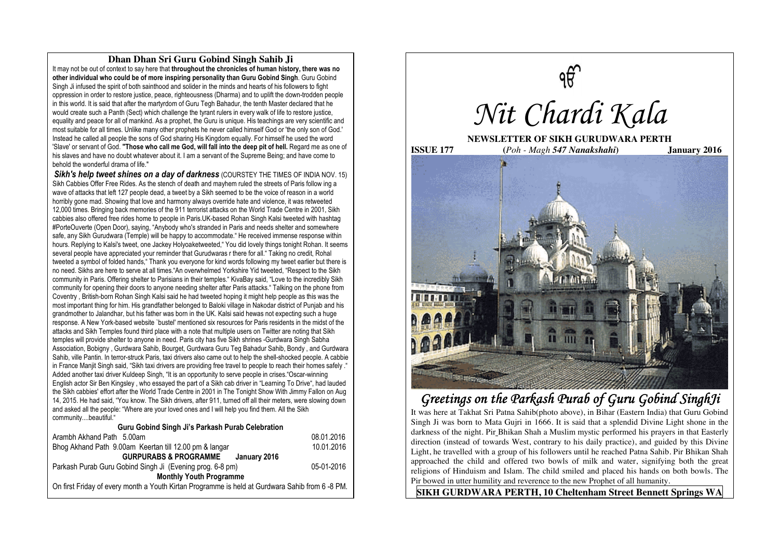## **Dhan Dhan Sri Guru Gobind Singh Sahib Ji**

It may not be out of context to say here that **throughout the chronicles of human history, there was no other individual who could be of more inspiring personality than Guru Gobind Singh**. Guru Gobind Singh Ji infused the spirit of both sainthood and solider in the minds and hearts of his followers to fight oppression in order to restore justice, peace, righteousness (Dharma) and to uplift the down-trodden people in this world. It is said that after the martyrdom of Guru Tegh Bahadur, the tenth Master declared that he would create such a Panth (Sect) which challenge the tyrant rulers in every walk of life to restore justice, equality and peace for all of mankind. As a prophet, the Guru is unique. His teachings are very scientific and most suitable for all times. Unlike many other prophets he never called himself God or 'the only son of God.' Instead he called all people the sons of God sharing His Kingdom equally. For himself he used the word 'Slave' or servant of God. "Those who call me God, will fall into the deep pit of hell. Regard me as one of his slaves and have no doubt whatever about it. I am a servant of the Supreme Being; and have come to behold the wonderful drama of life."

**Sikh's help tweet shines on a day of darkness** (COURSTEY THE TIMES OF INDIA NOV. 15) Sikh Cabbies Offer Free Rides. As the stench of death and mayhem ruled the streets of Paris follow ing a wave of attacks that left 127 people dead, a tweet by a Sikh seemed to be the voice of reason in a world horribly gone mad. Showing that love and harmony always override hate and violence, it was retweeted 12,000 times. Bringing back memories of the 911 terrorist attacks on the World Trade Centre in 2001, Sikh cabbies also offered free rides home to people in Paris.UK-based Rohan Singh Kalsi tweeted with hashtag #PorteOuverte (Open Door), saying, "Anybody who's stranded in Paris and needs shelter and somewhere safe, any Sikh Gurudwara (Temple) will be happy to accommodate." He received immense response within hours. Replying to Kalsi's tweet, one Jackey Holyoaketweeted," You did lovely things tonight Rohan. It seems several people have appreciated your reminder that Gurudwaras r there for all." Taking no credit, Rohal tweeted a symbol of folded hands," Thank you everyone for kind words following my tweet earlier but there is no need. Sikhs are here to serve at all times."An overwhelmed Yorkshire Yid tweeted, "Respect to the Sikh community in Paris. Offering shelter to Parisians in their temples." KivaBay said, "Love to the incredibly Sikh community for opening their doors to anyone needing shelter after Paris attacks." Talking on the phone from Coventry , British-born Rohan Singh Kalsi said he had tweeted hoping it might help people as this was the most important thing for him. His grandfather belonged to Baloki village in Nakodar district of Punjab and his grandmother to Jalandhar, but his father was born in the UK. Kalsi said hewas not expecting such a huge response. A New York-based website `bustel' mentioned six resources for Paris residents in the midst of the attacks and Sikh Temples found third place with a note that multiple users on Twitter are noting that Sikh temples will provide shelter to anyone in need. Paris city has five Sikh shrines -Gurdwara Singh Sabha Association, Bobigny , Gurdwara Sahib, Bourget, Gurdwara Guru Teg Bahadur Sahib, Bondy , and Gurdwara Sahib, ville Pantin. In terror-struck Paris, taxi drivers also came out to help the shell-shocked people. A cabbie in France Manjit Singh said, "Sikh taxi drivers are providing free travel to people to reach their homes safely ." Added another taxi driver Kuldeep Singh, "It is an opportunity to serve people in crises."Oscar-winning English actor Sir Ben Kingsley , who essayed the part of a Sikh cab driver in "Learning To Drive", had lauded the Sikh cabbies' effort after the World Trade Centre in 2001 in The Tonight Show With Jimmy Fallon on Aug 14, 2015. He had said, "You know. The Sikh drivers, after 911, turned off all their meters, were slowing down and asked all the people: "Where are your loved ones and I will help you find them. All the Sikh community....beautiful."

#### **Guru Gobind Singh Ji's Parkash Purab Celebration**

| Arambh Akhand Path 5.00am                                                                       | 08.01.2016 |
|-------------------------------------------------------------------------------------------------|------------|
| Bhog Akhand Path 9.00am Keertan till 12.00 pm & langar                                          | 10.01.2016 |
| <b>GURPURABS &amp; PROGRAMME</b><br>Januarv 2016                                                |            |
| Parkash Purab Guru Gobind Singh Ji (Evening prog. 6-8 pm)                                       | 05-01-2016 |
| <b>Monthly Youth Programme</b>                                                                  |            |
| On first Friday of every month a Youth Kirtan Programme is held at Gurdwara Sahib from 6 -8 PM. |            |



# *Greetings on the Parkash Purab of Guru Gobind SinghJi*

It was here at Takhat Sri Patna Sahib(photo above), in Bihar (Eastern India) that Guru Gobind Singh Ji was born to Mata Gujri in 1666. It is said that a splendid Divine Light shone in the darkness of the night. Pir Bhikan Shah a Muslim mystic performed his prayers in that Easterly direction (instead of towards West, contrary to his daily practice), and guided by this Divine Light, he travelled with a group of his followers until he reached Patna Sahib. Pir Bhikan Shah approached the child and offered two bowls of milk and water, signifying both the great religions of Hinduism and Islam. The child smiled and placed his hands on both bowls. The Pir bowed in utter humility and reverence to the new Prophet of all humanity.

**SIKH GURDWARA PERTH, 10 Cheltenham Street Bennett Springs WA**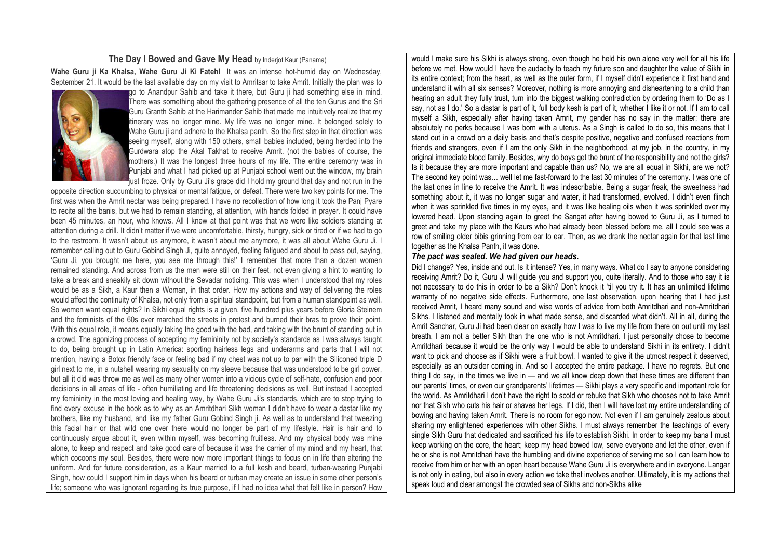### **The Day I Bowed and Gave My Head** by Inderjot Kaur (Panama)

**Wahe Guru ji Ka Khalsa, Wahe Guru Ji Ki Fateh!** It was an intense hot-humid day on Wednesday, September 21. It would be the last available day on my visit to Amritsar to take Amrit. Initially the plan was to



go to Anandpur Sahib and take it there, but Guru ji had something else in mind. There was something about the gathering presence of all the ten Gurus and the Sri Guru Granth Sahib at the Harimander Sahib that made me intuitively realize that my itinerary was no longer mine. My life was no longer mine. It belonged solely to Wahe Guru ji and adhere to the Khalsa panth. So the first step in that direction was seeing myself, along with 150 others, small babies included, being herded into the Gurdwara atop the Akal Takhat to receive Amrit. (not the babies of course, the mothers.) It was the longest three hours of my life. The entire ceremony was in Punjabi and what I had picked up at Punjabi school went out the window, my brain **I**ust froze. Only by Guru Ji's grace did I hold my ground that day and not run in the

opposite direction succumbing to physical or mental fatigue, or defeat. There were two key points for me. The first was when the Amrit nectar was being prepared. I have no recollection of how long it took the Panj Pyare to recite all the banis, but we had to remain standing, at attention, with hands folded in prayer. It could have been 45 minutes, an hour, who knows. All I knew at that point was that we were like soldiers standing at attention during a drill. It didn't matter if we were uncomfortable, thirsty, hungry, sick or tired or if we had to go to the restroom. It wasn't about us anymore, it wasn't about me anymore, it was all about Wahe Guru Ji. I remember calling out to Guru Gobind Singh Ji, quite annoyed, feeling fatigued and about to pass out, saying, 'Guru Ji, you brought me here, you see me through this!' I remember that more than a dozen women remained standing. And across from us the men were still on their feet, not even giving a hint to wanting to take a break and sneakily sit down without the Sevadar noticing. This was when I understood that my roles would be as a Sikh, a Kaur then a Woman, in that order. How my actions and way of delivering the roles would affect the continuity of Khalsa, not only from a spiritual standpoint, but from a human standpoint as well. So women want equal rights? In Sikhi equal rights is a given, five hundred plus years before Gloria Steinem and the feminists of the 60s ever marched the streets in protest and burned their bras to prove their point. With this equal role, it means equally taking the good with the bad, and taking with the brunt of standing out in a crowd. The agonizing process of accepting my femininity not by society's standards as I was always taught to do, being brought up in Latin America: sporting hairless legs and underarms and parts that I will not mention, having a Botox friendly face or feeling bad if my chest was not up to par with the Siliconed triple D girl next to me, in a nutshell wearing my sexuality on my sleeve because that was understood to be girl power, but all it did was throw me as well as many other women into a vicious cycle of self-hate, confusion and poor decisions in all areas of life - often humiliating and life threatening decisions as well. But instead I accepted my femininity in the most loving and healing way, by Wahe Guru Ji's standards, which are to stop trying to find every excuse in the book as to why as an Amritdhari Sikh woman I didn't have to wear a dastar like my brothers, like my husband, and like my father Guru Gobind Singh ji. As well as to understand that tweezing this facial hair or that wild one over there would no longer be part of my lifestyle. Hair is hair and to continuously argue about it, even within myself, was becoming fruitless. And my physical body was mine alone, to keep and respect and take good care of because it was the carrier of my mind and my heart, that which cocoons my soul. Besides, there were now more important things to focus on in life than altering the uniform. And for future consideration, as a Kaur married to a full kesh and beard, turban-wearing Punjabi Singh, how could I support him in days when his beard or turban may create an issue in some other person's life; someone who was ignorant regarding its true purpose, if I had no idea what that felt like in person? How

would I make sure his Sikhi is always strong, even though he held his own alone very well for all his life before we met. How would I have the audacity to teach my future son and daughter the value of Sikhi in its entire context; from the heart, as well as the outer form, if I myself didn't experience it first hand and understand it with all six senses? Moreover, nothing is more annoying and disheartening to a child than hearing an adult they fully trust, turn into the biggest walking contradiction by ordering them to 'Do as I say, not as I do.' So a dastar is part of it, full body kesh is part of it, whether I like it or not. If I am to call myself a Sikh, especially after having taken Amrit, my gender has no say in the matter; there are absolutely no perks because I was born with a uterus. As a Singh is called to do so, this means that I stand out in a crowd on a daily basis and that's despite positive, negative and confused reactions from friends and strangers, even if I am the only Sikh in the neighborhood, at my job, in the country, in my original immediate blood family. Besides, why do boys get the brunt of the responsibility and not the girls? Is it because they are more important and capable than us? No, we are all equal in Sikhi, are we not? The second key point was… well let me fast-forward to the last 30 minutes of the ceremony. I was one of the last ones in line to receive the Amrit. It was indescribable. Being a sugar freak, the sweetness had something about it, it was no longer sugar and water, it had transformed, evolved. I didn't even flinch when it was sprinkled five times in my eyes, and it was like healing oils when it was sprinkled over my lowered head. Upon standing again to greet the Sangat after having bowed to Guru Ji, as I turned to greet and take my place with the Kaurs who had already been blessed before me, all I could see was a row of smiling older bibis grinning from ear to ear. Then, as we drank the nectar again for that last time together as the Khalsa Panth, it was done.

### *The pact was sealed. We had given our heads.*

Did I change? Yes, inside and out. Is it intense? Yes, in many ways. What do I say to anyone considering receiving Amrit? Do it, Guru Ji will guide you and support you, quite literally. And to those who say it is not necessary to do this in order to be a Sikh? Don't knock it 'til you try it. It has an unlimited lifetime warranty of no negative side effects. Furthermore, one last observation, upon hearing that I had just received Amrit, I heard many sound and wise words of advice from both Amritdhari and non-Amritdhari Sikhs. I listened and mentally took in what made sense, and discarded what didn't. All in all, during the Amrit Sanchar, Guru Ji had been clear on exactly how I was to live my life from there on out until my last breath. I am not a better Sikh than the one who is not Amritdhari. I just personally chose to become Amritdhari because it would be the only way I would be able to understand Sikhi in its entirety. I didn't want to pick and choose as if Sikhi were a fruit bowl. I wanted to give it the utmost respect it deserved, especially as an outsider coming in. And so I accepted the entire package. I have no regrets. But one thing I do say, in the times we live in — and we all know deep down that these times are different than our parents' times, or even our grandparents' lifetimes — Sikhi plays a very specific and important role for the world. As Amritdhari I don't have the right to scold or rebuke that Sikh who chooses not to take Amrit nor that Sikh who cuts his hair or shaves her legs. If I did, then I will have lost my entire understanding of bowing and having taken Amrit. There is no room for ego now. Not even if I am genuinely zealous about sharing my enlightened experiences with other Sikhs. I must always remember the teachings of every single Sikh Guru that dedicated and sacrificed his life to establish Sikhi. In order to keep my bana I must keep working on the core, the heart; keep my head bowed low, serve everyone and let the other, even if he or she is not Amritdhari have the humbling and divine experience of serving me so I can learn how to receive from him or her with an open heart because Wahe Guru Ji is everywhere and in everyone. Langar is not only in eating, but also in every action we take that involves another. Ultimately, it is my actions that speak loud and clear amongst the crowded sea of Sikhs and non-Sikhs alike